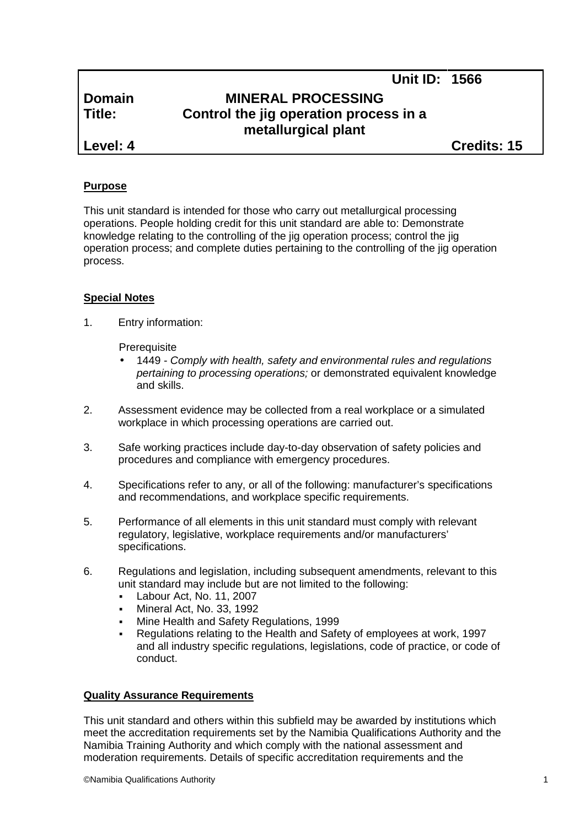# **Domain MINERAL PROCESSING Title: Control the jig operation process in a metallurgical plant**

**Level: 4 Credits: 15**

**Unit ID: 1566**

# **Purpose**

This unit standard is intended for those who carry out metallurgical processing operations. People holding credit for this unit standard are able to: Demonstrate knowledge relating to the controlling of the jig operation process; control the jig operation process; and complete duties pertaining to the controlling of the jig operation process.

# **Special Notes**

1. Entry information:

**Prerequisite** 

- 1449 *- Comply with health, safety and environmental rules and regulations pertaining to processing operations;* or demonstrated equivalent knowledge and skills.
- 2. Assessment evidence may be collected from a real workplace or a simulated workplace in which processing operations are carried out.
- 3. Safe working practices include day-to-day observation of safety policies and procedures and compliance with emergency procedures.
- 4. Specifications refer to any, or all of the following: manufacturer's specifications and recommendations, and workplace specific requirements.
- 5. Performance of all elements in this unit standard must comply with relevant regulatory, legislative, workplace requirements and/or manufacturers' specifications.
- 6. Regulations and legislation, including subsequent amendments, relevant to this unit standard may include but are not limited to the following:
	- Labour Act, No. 11, 2007
	- Mineral Act, No. 33, 1992
	- Mine Health and Safety Regulations, 1999
	- Regulations relating to the Health and Safety of employees at work, 1997 and all industry specific regulations, legislations, code of practice, or code of conduct.

# **Quality Assurance Requirements**

This unit standard and others within this subfield may be awarded by institutions which meet the accreditation requirements set by the Namibia Qualifications Authority and the Namibia Training Authority and which comply with the national assessment and moderation requirements. Details of specific accreditation requirements and the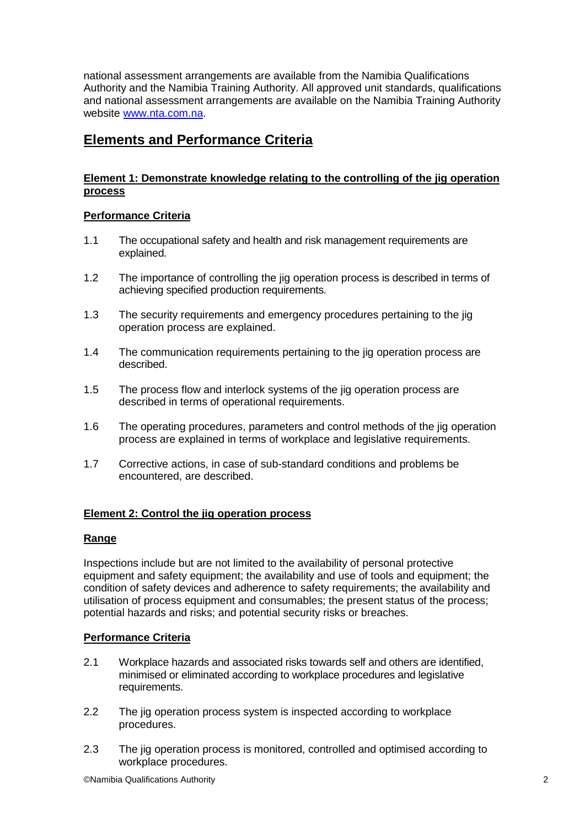national assessment arrangements are available from the Namibia Qualifications Authority and the Namibia Training Authority. All approved unit standards, qualifications and national assessment arrangements are available on the Namibia Training Authority website www.nta.com.na.

# **Elements and Performance Criteria**

# **Element 1: Demonstrate knowledge relating to the controlling of the jig operation process**

# **Performance Criteria**

- 1.1 The occupational safety and health and risk management requirements are explained.
- 1.2 The importance of controlling the jig operation process is described in terms of achieving specified production requirements.
- 1.3 The security requirements and emergency procedures pertaining to the jig operation process are explained.
- 1.4 The communication requirements pertaining to the jig operation process are described.
- 1.5 The process flow and interlock systems of the jig operation process are described in terms of operational requirements.
- 1.6 The operating procedures, parameters and control methods of the jig operation process are explained in terms of workplace and legislative requirements.
- 1.7 Corrective actions, in case of sub-standard conditions and problems be encountered, are described.

# **Element 2: Control the jig operation process**

# **Range**

Inspections include but are not limited to the availability of personal protective equipment and safety equipment; the availability and use of tools and equipment; the condition of safety devices and adherence to safety requirements; the availability and utilisation of process equipment and consumables; the present status of the process; potential hazards and risks; and potential security risks or breaches.

# **Performance Criteria**

- 2.1 Workplace hazards and associated risks towards self and others are identified, minimised or eliminated according to workplace procedures and legislative requirements.
- 2.2 The jig operation process system is inspected according to workplace procedures.
- 2.3 The jig operation process is monitored, controlled and optimised according to workplace procedures.